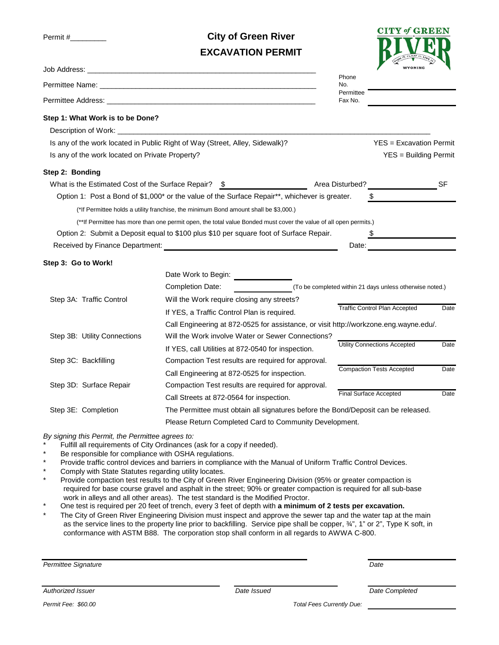Permit #\_\_\_\_\_\_\_\_\_

**City of Green River EXCAVATION PERMIT**



|                                                                                                                                                                                                  |                                                                                                                                                                                                                                                                                                                                                                                                                                                                                                                                                                                                                                                                                                                                                                                                                                                                                                                                                                                        |                                  | WYOMING                                                  |      |  |
|--------------------------------------------------------------------------------------------------------------------------------------------------------------------------------------------------|----------------------------------------------------------------------------------------------------------------------------------------------------------------------------------------------------------------------------------------------------------------------------------------------------------------------------------------------------------------------------------------------------------------------------------------------------------------------------------------------------------------------------------------------------------------------------------------------------------------------------------------------------------------------------------------------------------------------------------------------------------------------------------------------------------------------------------------------------------------------------------------------------------------------------------------------------------------------------------------|----------------------------------|----------------------------------------------------------|------|--|
|                                                                                                                                                                                                  | Phone<br>No.                                                                                                                                                                                                                                                                                                                                                                                                                                                                                                                                                                                                                                                                                                                                                                                                                                                                                                                                                                           |                                  |                                                          |      |  |
|                                                                                                                                                                                                  | Permittee<br>Fax No.                                                                                                                                                                                                                                                                                                                                                                                                                                                                                                                                                                                                                                                                                                                                                                                                                                                                                                                                                                   |                                  |                                                          |      |  |
| Step 1: What Work is to be Done?                                                                                                                                                                 |                                                                                                                                                                                                                                                                                                                                                                                                                                                                                                                                                                                                                                                                                                                                                                                                                                                                                                                                                                                        |                                  |                                                          |      |  |
| Is any of the work located in Public Right of Way (Street, Alley, Sidewalk)?<br>Is any of the work located on Private Property?                                                                  |                                                                                                                                                                                                                                                                                                                                                                                                                                                                                                                                                                                                                                                                                                                                                                                                                                                                                                                                                                                        |                                  | $YES = Excavation Permit$<br>YES = Building Permit       |      |  |
| Step 2: Bonding                                                                                                                                                                                  |                                                                                                                                                                                                                                                                                                                                                                                                                                                                                                                                                                                                                                                                                                                                                                                                                                                                                                                                                                                        |                                  |                                                          |      |  |
| What is the Estimated Cost of the Surface Repair? \$                                                                                                                                             | Area Disturbed?                                                                                                                                                                                                                                                                                                                                                                                                                                                                                                                                                                                                                                                                                                                                                                                                                                                                                                                                                                        |                                  |                                                          | -SF  |  |
|                                                                                                                                                                                                  | Option 1: Post a Bond of \$1,000* or the value of the Surface Repair**, whichever is greater.                                                                                                                                                                                                                                                                                                                                                                                                                                                                                                                                                                                                                                                                                                                                                                                                                                                                                          | \$                               |                                                          |      |  |
|                                                                                                                                                                                                  | (*If Permittee holds a utility franchise, the minimum Bond amount shall be \$3,000.)                                                                                                                                                                                                                                                                                                                                                                                                                                                                                                                                                                                                                                                                                                                                                                                                                                                                                                   |                                  |                                                          |      |  |
|                                                                                                                                                                                                  | (**If Permittee has more than one permit open, the total value Bonded must cover the value of all open permits.)                                                                                                                                                                                                                                                                                                                                                                                                                                                                                                                                                                                                                                                                                                                                                                                                                                                                       |                                  |                                                          |      |  |
|                                                                                                                                                                                                  | Option 2: Submit a Deposit equal to \$100 plus \$10 per square foot of Surface Repair.                                                                                                                                                                                                                                                                                                                                                                                                                                                                                                                                                                                                                                                                                                                                                                                                                                                                                                 |                                  |                                                          |      |  |
|                                                                                                                                                                                                  | Received by Finance Department: Network and the state of the state of the state of the state of the state of the state of the state of the state of the state of the state of the state of the state of the state of the state                                                                                                                                                                                                                                                                                                                                                                                                                                                                                                                                                                                                                                                                                                                                                         | Date:                            |                                                          |      |  |
| Step 3: Go to Work!                                                                                                                                                                              |                                                                                                                                                                                                                                                                                                                                                                                                                                                                                                                                                                                                                                                                                                                                                                                                                                                                                                                                                                                        |                                  |                                                          |      |  |
|                                                                                                                                                                                                  | Date Work to Begin:                                                                                                                                                                                                                                                                                                                                                                                                                                                                                                                                                                                                                                                                                                                                                                                                                                                                                                                                                                    |                                  |                                                          |      |  |
|                                                                                                                                                                                                  | <b>Completion Date:</b>                                                                                                                                                                                                                                                                                                                                                                                                                                                                                                                                                                                                                                                                                                                                                                                                                                                                                                                                                                |                                  | (To be completed within 21 days unless otherwise noted.) |      |  |
| Step 3A: Traffic Control                                                                                                                                                                         | Will the Work require closing any streets?                                                                                                                                                                                                                                                                                                                                                                                                                                                                                                                                                                                                                                                                                                                                                                                                                                                                                                                                             |                                  |                                                          |      |  |
|                                                                                                                                                                                                  | If YES, a Traffic Control Plan is required.                                                                                                                                                                                                                                                                                                                                                                                                                                                                                                                                                                                                                                                                                                                                                                                                                                                                                                                                            |                                  | <b>Traffic Control Plan Accepted</b>                     | Date |  |
|                                                                                                                                                                                                  | Call Engineering at 872-0525 for assistance, or visit http://workzone.eng.wayne.edu/.                                                                                                                                                                                                                                                                                                                                                                                                                                                                                                                                                                                                                                                                                                                                                                                                                                                                                                  |                                  |                                                          |      |  |
| Step 3B: Utility Connections                                                                                                                                                                     | Will the Work involve Water or Sewer Connections?                                                                                                                                                                                                                                                                                                                                                                                                                                                                                                                                                                                                                                                                                                                                                                                                                                                                                                                                      |                                  |                                                          |      |  |
|                                                                                                                                                                                                  | If YES, call Utilities at 872-0540 for inspection.                                                                                                                                                                                                                                                                                                                                                                                                                                                                                                                                                                                                                                                                                                                                                                                                                                                                                                                                     |                                  | <b>Utility Connections Accepted</b>                      | Date |  |
| Step 3C: Backfilling                                                                                                                                                                             | Compaction Test results are required for approval.                                                                                                                                                                                                                                                                                                                                                                                                                                                                                                                                                                                                                                                                                                                                                                                                                                                                                                                                     |                                  |                                                          |      |  |
|                                                                                                                                                                                                  | Call Engineering at 872-0525 for inspection.                                                                                                                                                                                                                                                                                                                                                                                                                                                                                                                                                                                                                                                                                                                                                                                                                                                                                                                                           | <b>Compaction Tests Accepted</b> |                                                          | Date |  |
| Step 3D: Surface Repair                                                                                                                                                                          | Compaction Test results are required for approval.                                                                                                                                                                                                                                                                                                                                                                                                                                                                                                                                                                                                                                                                                                                                                                                                                                                                                                                                     |                                  |                                                          |      |  |
|                                                                                                                                                                                                  | Call Streets at 872-0564 for inspection.                                                                                                                                                                                                                                                                                                                                                                                                                                                                                                                                                                                                                                                                                                                                                                                                                                                                                                                                               | Final Surface Accepted           |                                                          | Date |  |
| Step 3E: Completion                                                                                                                                                                              | The Permittee must obtain all signatures before the Bond/Deposit can be released.                                                                                                                                                                                                                                                                                                                                                                                                                                                                                                                                                                                                                                                                                                                                                                                                                                                                                                      |                                  |                                                          |      |  |
|                                                                                                                                                                                                  | Please Return Completed Card to Community Development.                                                                                                                                                                                                                                                                                                                                                                                                                                                                                                                                                                                                                                                                                                                                                                                                                                                                                                                                 |                                  |                                                          |      |  |
| By signing this Permit, the Permittee agrees to:<br>*<br>Be responsible for compliance with OSHA regulations.<br>*<br>$\star$<br>Comply with State Statutes regarding utility locates.<br>*<br>* | Fulfill all requirements of City Ordinances (ask for a copy if needed).<br>Provide traffic control devices and barriers in compliance with the Manual of Uniform Traffic Control Devices.<br>Provide compaction test results to the City of Green River Engineering Division (95% or greater compaction is<br>required for base course gravel and asphalt in the street; 90% or greater compaction is required for all sub-base<br>work in alleys and all other areas). The test standard is the Modified Proctor.<br>One test is required per 20 feet of trench, every 3 feet of depth with a minimum of 2 tests per excavation.<br>The City of Green River Engineering Division must inspect and approve the sewer tap and the water tap at the main<br>as the service lines to the property line prior to backfilling. Service pipe shall be copper, 3/4", 1" or 2", Type K soft, in<br>conformance with ASTM B88. The corporation stop shall conform in all regards to AWWA C-800. |                                  |                                                          |      |  |
|                                                                                                                                                                                                  |                                                                                                                                                                                                                                                                                                                                                                                                                                                                                                                                                                                                                                                                                                                                                                                                                                                                                                                                                                                        |                                  |                                                          |      |  |
| Permittee Signature                                                                                                                                                                              |                                                                                                                                                                                                                                                                                                                                                                                                                                                                                                                                                                                                                                                                                                                                                                                                                                                                                                                                                                                        | Date                             |                                                          |      |  |

*Authorized Issuer Date Issued Date Completed*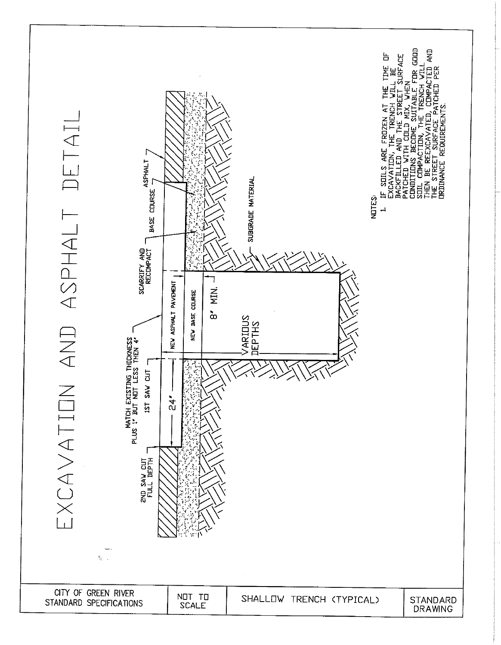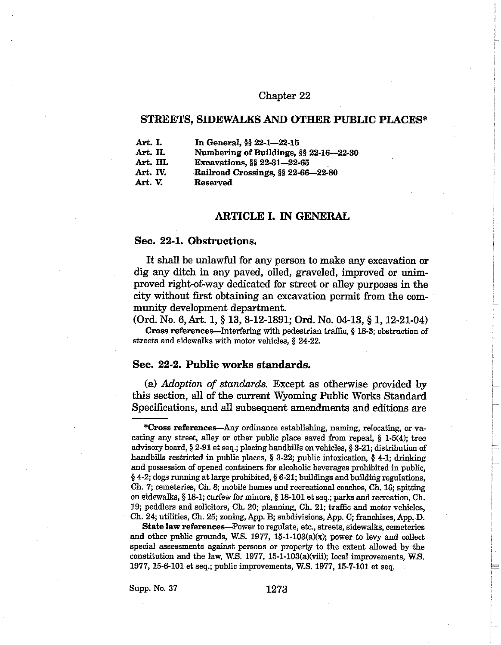## Chapter 22

# STREETS, SIDEWALKS AND OTHER PUBLIC PLACES\*

| Art. I.   | In General, §§ 22-1-22-15              |  |
|-----------|----------------------------------------|--|
| Art. II.  | Numbering of Buildings, §§ 22-16-22-30 |  |
| Art. III. | Excavations, §§ 22-31-22-65            |  |
| Art. IV.  | Railroad Crossings, §§ 22-66-22-80     |  |
| Art. V.   | Reserved                               |  |

# **ARTICLE I. IN GENERAL**

### Sec. 22-1. Obstructions.

It shall be unlawful for any person to make any excavation or dig any ditch in any paved, oiled, graveled, improved or unimproved right-of-way dedicated for street or alley purposes in the city without first obtaining an excavation permit from the community development department.

(Ord. No. 6, Art. 1, § 13, 8-12-1891; Ord. No. 04-13, § 1, 12-21-04)

Cross references—Interfering with pedestrian traffic, § 18-3; obstruction of streets and sidewalks with motor vehicles, § 24-22.

# Sec. 22-2. Public works standards.

(a) Adoption of standards. Except as otherwise provided by this section, all of the current Wyoming Public Works Standard Specifications, and all subsequent amendments and editions are

State law references—Power to regulate, etc., streets, sidewalks, cemeteries and other public grounds, W.S. 1977, 15-1-103( $a(x)$ ; power to levy and collect special assessments against persons or property to the extent allowed by the constitution and the law, W.S. 1977, 15-1-103(a)(viii); local improvements, W.S. 1977, 15-6-101 et seq.; public improvements, W.S. 1977, 15-7-101 et seq.

<sup>\*</sup>Cross references—Any ordinance establishing, naming, relocating, or vacating any street, alley or other public place saved from repeal,  $§$  1-5(4); tree advisory board, § 2-91 et seq.; placing handbills on vehicles, § 3-21; distribution of handbills restricted in public places,  $\S$  3-22; public intoxication,  $\S$  4-1; drinking and possession of opened containers for alcoholic beverages prohibited in public.  $§$  4-2; dogs running at large prohibited,  $§$  6-21; buildings and building regulations, Ch. 7; cemeteries, Ch. 8; mobile homes and recreational coaches, Ch. 16; spitting on sidewalks, § 18-1; curfew for minors, § 18-101 et seq.; parks and recreation, Ch. 19; peddlers and solicitors, Ch. 20; planning, Ch. 21; traffic and motor vehicles, Ch. 24; utilities, Ch. 25; zoning, App. B; subdivisions, App. C; franchises, App. D.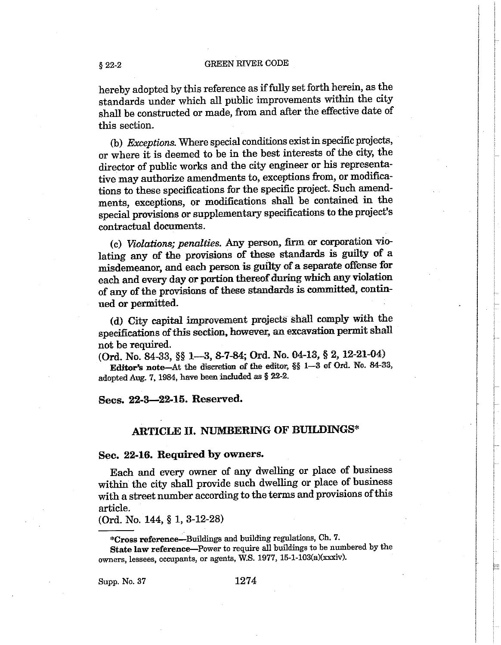hereby adopted by this reference as if fully set forth herein, as the standards under which all public improvements within the city shall be constructed or made, from and after the effective date of this section.

(b) Exceptions. Where special conditions exist in specific projects, or where it is deemed to be in the best interests of the city, the director of public works and the city engineer or his representative may authorize amendments to, exceptions from, or modifications to these specifications for the specific project. Such amendments, exceptions, or modifications shall be contained in the special provisions or supplementary specifications to the project's contractual documents.

(c) Violations; penalties. Any person, firm or corporation violating any of the provisions of these standards is guilty of a misdemeanor, and each person is guilty of a separate offense for each and every day or portion thereof during which any violation of any of the provisions of these standards is committed, continued or permitted.

(d) City capital improvement projects shall comply with the specifications of this section, however, an excavation permit shall not be required.

(Ord. No. 84-33, §§ 1—3, 8-7-84; Ord. No. 04-13, § 2, 12-21-04)

Editor's note-At the discretion of the editor, §§ 1-3 of Ord. No. 84-33, adopted Aug. 7, 1984, have been included as § 22-2.

# Secs. 22-3-22-15. Reserved.

# **ARTICLE II. NUMBERING OF BUILDINGS\***

# Sec. 22-16. Required by owners.

Each and every owner of any dwelling or place of business within the city shall provide such dwelling or place of business with a street number according to the terms and provisions of this article.

(Ord. No. 144, § 1, 3-12-28)

\*Cross reference-Buildings and building regulations, Ch. 7.

State law reference-Power to require all buildings to be numbered by the owners, lessees, occupants, or agents, W.S. 1977, 15-1-103(a)(xxxiv).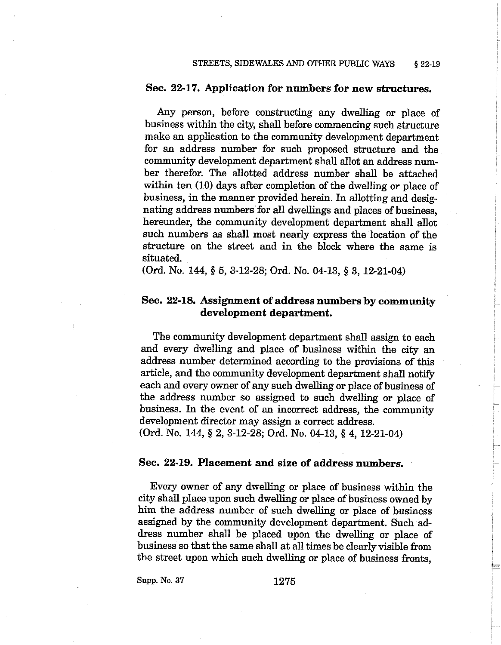# Sec. 22-17. Application for numbers for new structures.

Any person, before constructing any dwelling or place of business within the city, shall before commencing such structure make an application to the community development department for an address number for such proposed structure and the community development department shall allot an address number therefor. The allotted address number shall be attached within ten (10) days after completion of the dwelling or place of business, in the manner provided herein. In allotting and designating address numbers for all dwellings and places of business. hereunder, the community development department shall allot such numbers as shall most nearly express the location of the structure on the street and in the block where the same is situated.

(Ord. No. 144, § 5, 3-12-28; Ord. No. 04-13, § 3, 12-21-04)

# Sec. 22-18. Assignment of address numbers by community development department.

The community development department shall assign to each and every dwelling and place of business within the city an address number determined according to the provisions of this article, and the community development department shall notify each and every owner of any such dwelling or place of business of the address number so assigned to such dwelling or place of business. In the event of an incorrect address, the community development director may assign a correct address.

(Ord. No. 144, § 2, 3-12-28; Ord. No. 04-13, § 4, 12-21-04)

### Sec. 22-19. Placement and size of address numbers.

Every owner of any dwelling or place of business within the city shall place upon such dwelling or place of business owned by him the address number of such dwelling or place of business assigned by the community development department. Such address number shall be placed upon the dwelling or place of business so that the same shall at all times be clearly visible from the street upon which such dwelling or place of business fronts.

Supp. No. 37

1275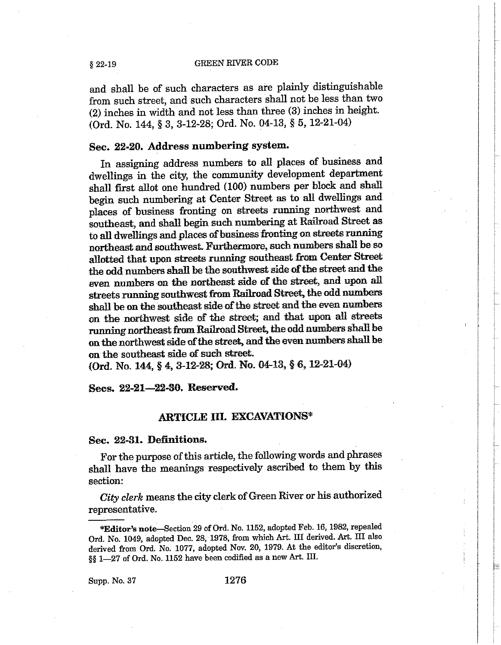and shall be of such characters as are plainly distinguishable from such street, and such characters shall not be less than two (2) inches in width and not less than three (3) inches in height. (Ord. No. 144, § 3, 3-12-28; Ord. No. 04-13, § 5, 12-21-04)

# Sec. 22-20. Address numbering system.

In assigning address numbers to all places of business and dwellings in the city, the community development department shall first allot one hundred (100) numbers per block and shall begin such numbering at Center Street as to all dwellings and places of business fronting on streets running northwest and southeast, and shall begin such numbering at Railroad Street as to all dwellings and places of business fronting on streets running northeast and southwest. Furthermore, such numbers shall be so allotted that upon streets running southeast from Center Street the odd numbers shall be the southwest side of the street and the even numbers on the northeast side of the street, and upon all streets running southwest from Railroad Street, the odd numbers shall be on the southeast side of the street and the even numbers on the northwest side of the street; and that upon all streets running northeast from Railroad Street, the odd numbers shall be on the northwest side of the street, and the even numbers shall be on the southeast side of such street.

(Ord. No. 144, § 4, 3-12-28; Ord. No. 04-13, § 6, 12-21-04)

Secs. 22-21-22-30. Reserved.

# **ARTICLE III. EXCAVATIONS\***

## Sec. 22-31. Definitions.

For the purpose of this article, the following words and phrases shall have the meanings respectively ascribed to them by this section:

City clerk means the city clerk of Green River or his authorized representative.

Supp. No. 37

 $§ 22-19$ 

<sup>\*</sup>Editor's note-Section 29 of Ord. No. 1152, adopted Feb. 16, 1982, repealed Ord. No. 1049, adopted Dec. 28, 1978, from which Art. III derived. Art. III also derived from Ord. No. 1077, adopted Nov. 20, 1979. At the editor's discretion, §§ 1-27 of Ord. No. 1152 have been codified as a new Art. III.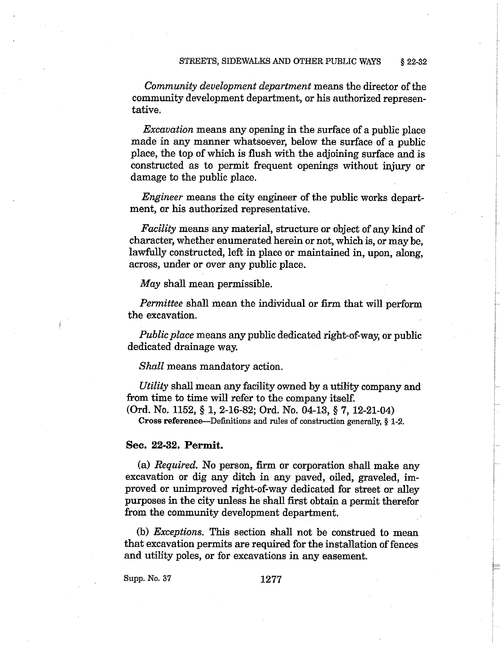Community development department means the director of the community development department, or his authorized representative.

*Excavation* means any opening in the surface of a public place made in any manner whatsoever, below the surface of a public place, the top of which is flush with the adjoining surface and is constructed as to permit frequent openings without injury or damage to the public place.

*Engineer* means the city engineer of the public works department, or his authorized representative.

*Facility* means any material, structure or object of any kind of character, whether enumerated herein or not, which is, or may be, lawfully constructed, left in place or maintained in, upon, along, across, under or over any public place.

May shall mean permissible.

Permittee shall mean the individual or firm that will perform the excavation.

*Public place* means any public dedicated right-of-way, or public dedicated drainage way.

Shall means mandatory action.

Utility shall mean any facility owned by a utility company and from time to time will refer to the company itself.

(Ord. No. 1152, § 1, 2-16-82; Ord. No. 04-13, § 7, 12-21-04)

Cross reference—Definitions and rules of construction generally, § 1-2.

## Sec. 22-32. Permit.

(a) Required. No person, firm or corporation shall make any excavation or dig any ditch in any paved, oiled, graveled, improved or unimproved right-of-way dedicated for street or alley purposes in the city unless he shall first obtain a permit therefor from the community development department.

(b) *Exceptions*. This section shall not be construed to mean that excavation permits are required for the installation of fences and utility poles, or for excavations in any easement.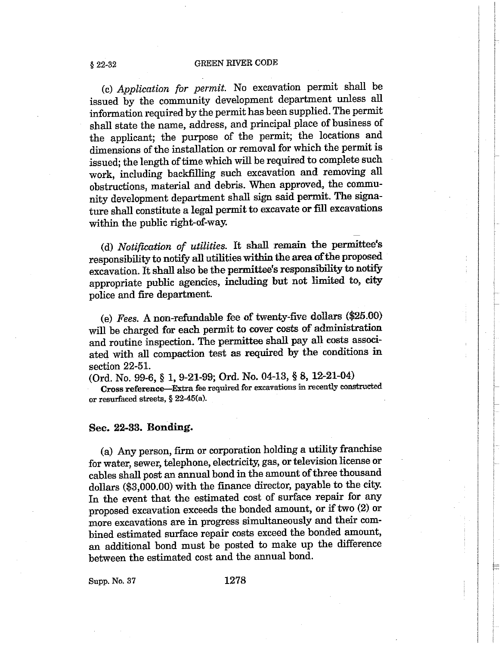(c) Application for permit. No excavation permit shall be issued by the community development department unless all information required by the permit has been supplied. The permit shall state the name, address, and principal place of business of the applicant; the purpose of the permit; the locations and dimensions of the installation or removal for which the permit is issued; the length of time which will be required to complete such work, including backfilling such excavation and removing all obstructions, material and debris. When approved, the community development department shall sign said permit. The signature shall constitute a legal permit to excavate or fill excavations within the public right-of-way.

(d) Notification of utilities. It shall remain the permittee's responsibility to notify all utilities within the area of the proposed excavation. It shall also be the permittee's responsibility to notify appropriate public agencies, including but not limited to, city police and fire department.

(e) Fees. A non-refundable fee of twenty-five dollars (\$25.00) will be charged for each permit to cover costs of administration and routine inspection. The permittee shall pay all costs associated with all compaction test as required by the conditions in section 22-51.

(Ord. No. 99-6, § 1, 9-21-99; Ord. No. 04-13, § 8, 12-21-04) Cross reference-Extra fee required for excavations in recently constructed or resurfaced streets,  $§$  22-45(a).

### Sec. 22-33. Bonding.

(a) Any person, firm or corporation holding a utility franchise for water, sewer, telephone, electricity, gas, or television license or cables shall post an annual bond in the amount of three thousand dollars (\$3,000.00) with the finance director, payable to the city. In the event that the estimated cost of surface repair for any proposed excavation exceeds the bonded amount, or if two (2) or more excavations are in progress simultaneously and their combined estimated surface repair costs exceed the bonded amount, an additional bond must be posted to make up the difference between the estimated cost and the annual bond.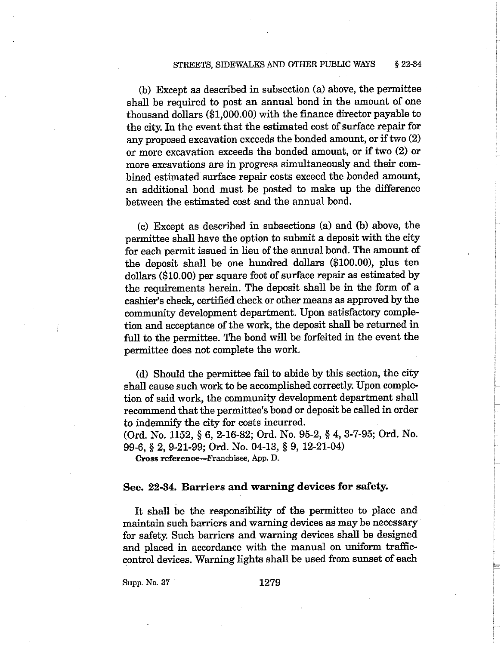#### STREETS, SIDEWALKS AND OTHER PUBLIC WAYS  $$22-34$

(b) Except as described in subsection (a) above, the permittee shall be required to post an annual bond in the amount of one thousand dollars (\$1,000.00) with the finance director payable to the city. In the event that the estimated cost of surface repair for any proposed excavation exceeds the bonded amount, or if two (2) or more excavation exceeds the bonded amount, or if two (2) or more excavations are in progress simultaneously and their combined estimated surface repair costs exceed the bonded amount. an additional bond must be posted to make up the difference between the estimated cost and the annual bond.

(c) Except as described in subsections (a) and (b) above, the permittee shall have the option to submit a deposit with the city for each permit issued in lieu of the annual bond. The amount of the deposit shall be one hundred dollars (\$100.00), plus ten dollars (\$10.00) per square foot of surface repair as estimated by the requirements herein. The deposit shall be in the form of a cashier's check, certified check or other means as approved by the community development department. Upon satisfactory completion and acceptance of the work, the deposit shall be returned in full to the permittee. The bond will be forfeited in the event the permittee does not complete the work.

(d) Should the permittee fail to abide by this section, the city shall cause such work to be accomplished correctly. Upon completion of said work, the community development department shall recommend that the permittee's bond or deposit be called in order to indemnify the city for costs incurred.

(Ord. No. 1152, § 6, 2-16-82; Ord. No. 95-2, § 4, 3-7-95; Ord. No. 99-6, § 2, 9-21-99; Ord. No. 04-13, § 9, 12-21-04)

Cross reference—Franchises, App. D.

### Sec. 22-34. Barriers and warning devices for safety.

It shall be the responsibility of the permittee to place and maintain such barriers and warning devices as may be necessary for safety. Such barriers and warning devices shall be designed and placed in accordance with the manual on uniform trafficcontrol devices. Warning lights shall be used from sunset of each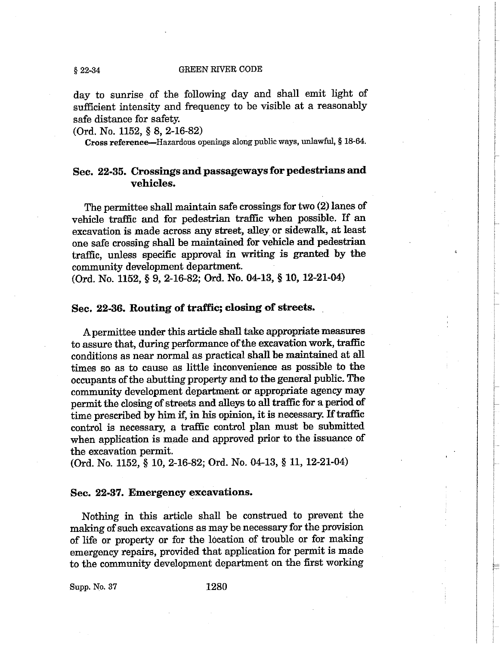day to sunrise of the following day and shall emit light of sufficient intensity and frequency to be visible at a reasonably safe distance for safety.

(Ord. No. 1152, § 8, 2-16-82)

 $$22-34$ 

Cross reference-Hazardous openings along public ways, unlawful, § 18-64.

# Sec. 22-35. Crossings and passageways for pedestrians and vehicles.

The permittee shall maintain safe crossings for two (2) lanes of vehicle traffic and for pedestrian traffic when possible. If an excavation is made across any street, alley or sidewalk, at least one safe crossing shall be maintained for vehicle and pedestrian traffic, unless specific approval in writing is granted by the community development department.

(Ord. No. 1152, § 9, 2-16-82; Ord. No. 04-13, § 10, 12-21-04)

# Sec. 22-36. Routing of traffic; closing of streets.

A permittee under this article shall take appropriate measures to assure that, during performance of the excavation work, traffic conditions as near normal as practical shall be maintained at all times so as to cause as little inconvenience as possible to the occupants of the abutting property and to the general public. The community development department or appropriate agency may permit the closing of streets and alleys to all traffic for a period of time prescribed by him if, in his opinion, it is necessary. If traffic control is necessary, a traffic control plan must be submitted when application is made and approved prior to the issuance of the excavation permit.

(Ord. No. 1152, § 10, 2-16-82; Ord. No. 04-13, § 11, 12-21-04)

# Sec. 22-37. Emergency excavations.

Nothing in this article shall be construed to prevent the making of such excavations as may be necessary for the provision of life or property or for the location of trouble or for making emergency repairs, provided that application for permit is made to the community development department on the first working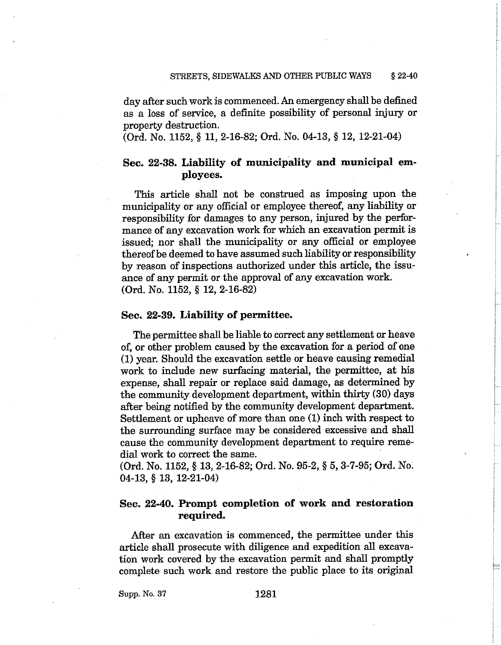day after such work is commenced. An emergency shall be defined as a loss of service, a definite possibility of personal injury or property destruction.

(Ord. No. 1152, § 11, 2-16-82; Ord. No. 04-13, § 12, 12-21-04)

# Sec. 22-38. Liability of municipality and municipal employees.

This article shall not be construed as imposing upon the municipality or any official or employee thereof, any liability or responsibility for damages to any person, injured by the performance of any excavation work for which an excavation permit is issued; nor shall the municipality or any official or employee thereof be deemed to have assumed such liability or responsibility by reason of inspections authorized under this article, the issuance of any permit or the approval of any excavation work. (Ord. No. 1152,  $\S$  12, 2-16-82)

### Sec. 22-39. Liability of permittee.

The permittee shall be liable to correct any settlement or heave of, or other problem caused by the excavation for a period of one (1) year. Should the excavation settle or heave causing remedial work to include new surfacing material, the permittee, at his expense, shall repair or replace said damage, as determined by the community development department, within thirty (30) days after being notified by the community development department. Settlement or upheave of more than one (1) inch with respect to the surrounding surface may be considered excessive and shall cause the community development department to require remedial work to correct the same.

(Ord. No. 1152, § 13, 2-16-82; Ord. No. 95-2, § 5, 3-7-95; Ord. No.  $04-13, § 13, 12-21-04)$ 

# Sec. 22-40. Prompt completion of work and restoration required.

After an excavation is commenced, the permittee under this article shall prosecute with diligence and expedition all excavation work covered by the excavation permit and shall promptly complete such work and restore the public place to its original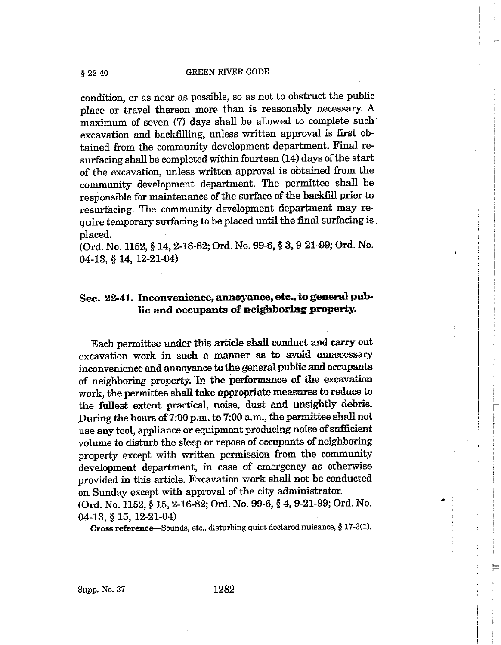condition, or as near as possible, so as not to obstruct the public place or travel thereon more than is reasonably necessary. A maximum of seven (7) days shall be allowed to complete such excavation and backfilling, unless written approval is first obtained from the community development department. Final resurfacing shall be completed within fourteen (14) days of the start of the excavation, unless written approval is obtained from the community development department. The permittee shall be responsible for maintenance of the surface of the backfill prior to resurfacing. The community development department may require temporary surfacing to be placed until the final surfacing is. placed.

(Ord. No. 1152, § 14, 2-16-82; Ord. No. 99-6, § 3, 9-21-99; Ord. No.  $04-13, § 14, 12-21-04)$ 

# Sec. 22-41. Inconvenience, annoyance, etc., to general public and occupants of neighboring property.

Each permittee under this article shall conduct and carry out excavation work in such a manner as to avoid unnecessary inconvenience and annoyance to the general public and occupants of neighboring property. In the performance of the excavation work, the permittee shall take appropriate measures to reduce to the fullest extent practical, noise, dust and unsightly debris. During the hours of 7:00 p.m. to 7:00 a.m., the permittee shall not use any tool, appliance or equipment producing noise of sufficient volume to disturb the sleep or repose of occupants of neighboring property except with written permission from the community development department, in case of emergency as otherwise provided in this article. Excavation work shall not be conducted on Sunday except with approval of the city administrator. (Ord. No. 1152, § 15, 2-16-82; Ord. No. 99-6, § 4, 9-21-99; Ord. No.  $04-13$ , § 15, 12-21-04)

Cross reference—Sounds, etc., disturbing quiet declared nuisance, § 17-3(1).

Supp. No. 37

 $$22-40$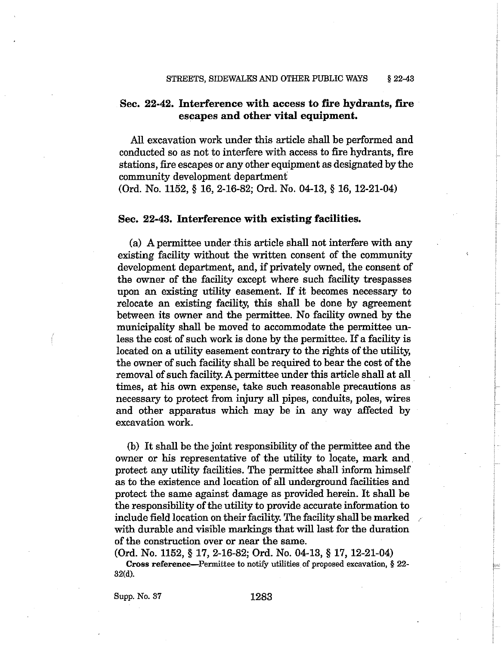# Sec. 22-42. Interference with access to fire hydrants, fire escapes and other vital equipment.

All excavation work under this article shall be performed and conducted so as not to interfere with access to fire hydrants, fire stations, fire escapes or any other equipment as designated by the community development department

(Ord. No. 1152, § 16, 2-16-82; Ord. No. 04-13, § 16, 12-21-04)

### Sec. 22-43. Interference with existing facilities.

(a) A permittee under this article shall not interfere with any existing facility without the written consent of the community development department, and, if privately owned, the consent of the owner of the facility except where such facility trespasses upon an existing utility easement. If it becomes necessary to relocate an existing facility, this shall be done by agreement between its owner and the permittee. No facility owned by the municipality shall be moved to accommodate the permittee unless the cost of such work is done by the permittee. If a facility is located on a utility easement contrary to the rights of the utility. the owner of such facility shall be required to bear the cost of the removal of such facility. A permittee under this article shall at all times, at his own expense, take such reasonable precautions as necessary to protect from injury all pipes, conduits, poles, wires and other apparatus which may be in any way affected by excavation work.

(b) It shall be the joint responsibility of the permittee and the owner or his representative of the utility to locate, mark and protect any utility facilities. The permittee shall inform himself as to the existence and location of all underground facilities and protect the same against damage as provided herein. It shall be the responsibility of the utility to provide accurate information to include field location on their facility. The facility shall be marked with durable and visible markings that will last for the duration of the construction over or near the same.

(Ord. No. 1152, § 17, 2-16-82; Ord. No. 04-13, § 17, 12-21-04) Cross reference—Permittee to notify utilities of proposed excavation, § 22- $32(d)$ .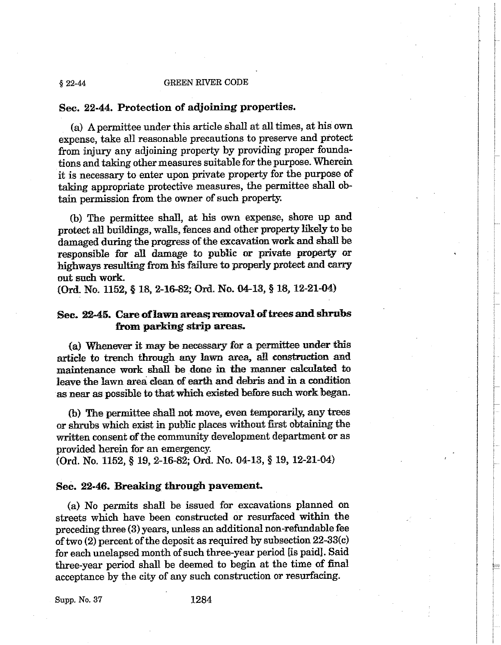## Sec. 22-44. Protection of adjoining properties.

(a) A permittee under this article shall at all times, at his own expense, take all reasonable precautions to preserve and protect from injury any adjoining property by providing proper foundations and taking other measures suitable for the purpose. Wherein it is necessary to enter upon private property for the purpose of taking appropriate protective measures, the permittee shall obtain permission from the owner of such property.

(b) The permittee shall, at his own expense, shore up and protect all buildings, walls, fences and other property likely to be damaged during the progress of the excavation work and shall be responsible for all damage to public or private property or highways resulting from his failure to properly protect and carry out such work.

(Ord. No. 1152, § 18, 2-16-82; Ord. No. 04-13, § 18, 12-21-04)

# Sec. 22-45. Care of lawn areas; removal of trees and shrubs from parking strip areas.

(a) Whenever it may be necessary for a permittee under this article to trench through any lawn area, all construction and maintenance work shall be done in the manner calculated to leave the lawn area clean of earth and debris and in a condition as near as possible to that which existed before such work began.

(b) The permittee shall not move, even temporarily, any trees or shrubs which exist in public places without first obtaining the written consent of the community development department or as provided herein for an emergency.

(Ord. No. 1152, § 19, 2-16-82; Ord. No. 04-13, § 19, 12-21-04)

## Sec. 22-46. Breaking through pavement.

(a) No permits shall be issued for excavations planned on streets which have been constructed or resurfaced within the preceding three (3) years, unless an additional non-refundable fee of two  $(2)$  percent of the deposit as required by subsection  $22-33(c)$ for each unelapsed month of such three-year period [is paid]. Said three-year period shall be deemed to begin at the time of final acceptance by the city of any such construction or resurfacing.

Supp. No. 37

 $$22-44$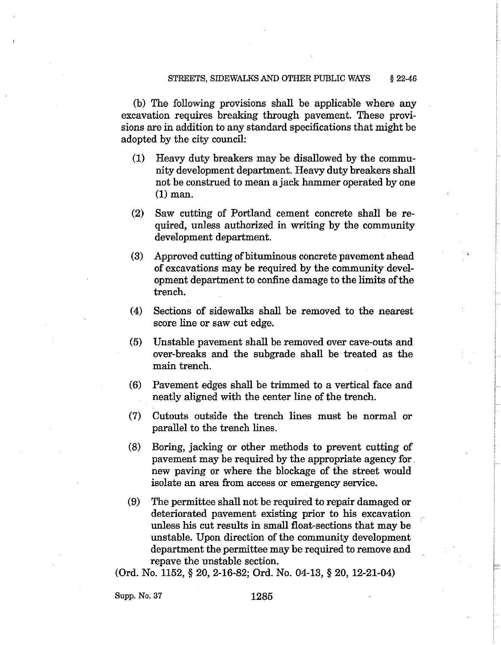(b) The following provisions shall be applicable where any excavation requires breaking through payement. These provisions are in addition to any standard specifications that might be adopted by the city council:

- Heavy duty breakers may be disallowed by the commu- $(1)$ nity development department. Heavy duty breakers shall not be construed to mean a jack hammer operated by one  $(1)$  man.
- (2) Saw cutting of Portland cement concrete shall be required, unless authorized in writing by the community development department.
- $(3)$ Approved cutting of bituminous concrete pavement ahead of excavations may be required by the community development department to confine damage to the limits of the trench.
- Sections of sidewalks shall be removed to the nearest  $(4)$ score line or saw cut edge.
- Unstable pavement shall be removed over cave-outs and  $(5)$ over-breaks and the subgrade shall be treated as the main trench.
- $(6)$ Pavement edges shall be trimmed to a vertical face and neatly aligned with the center line of the trench.
- Cutouts outside the trench lines must be normal or  $(7)$ parallel to the trench lines.
- Boring, jacking or other methods to prevent cutting of  $(8)$ payement may be required by the appropriate agency for new paying or where the blockage of the street would isolate an area from access or emergency service.
- $(9)$ The permittee shall not be required to repair damaged or deteriorated payement existing prior to his excavation unless his cut results in small float-sections that may be unstable. Upon direction of the community development department the permittee may be required to remove and repave the unstable section.

(Ord. No. 1152, § 20, 2-16-82; Ord. No. 04-13, § 20, 12-21-04)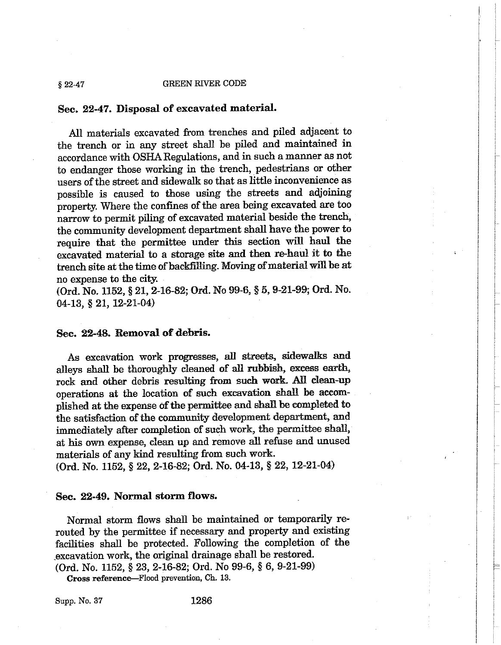#### **GREEN RIVER CODE**  $§ 22-47$

### Sec. 22-47. Disposal of excavated material.

All materials excavated from trenches and piled adjacent to the trench or in any street shall be piled and maintained in accordance with OSHA Regulations, and in such a manner as not to endanger those working in the trench, pedestrians or other users of the street and sidewalk so that as little inconvenience as possible is caused to those using the streets and adjoining property. Where the confines of the area being excavated are too narrow to permit piling of excavated material beside the trench. the community development department shall have the power to require that the permittee under this section will haul the excavated material to a storage site and then re-haul it to the trench site at the time of backfilling. Moving of material will be at no expense to the city.

(Ord. No. 1152, § 21, 2-16-82; Ord. No 99-6, § 5, 9-21-99; Ord. No.  $04-13$ , § 21, 12-21-04)

### Sec. 22-48. Removal of debris.

As excavation work progresses, all streets, sidewalks and alleys shall be thoroughly cleaned of all rubbish, excess earth, rock and other debris resulting from such work. All clean-up operations at the location of such excavation shall be accomplished at the expense of the permittee and shall be completed to the satisfaction of the community development department, and immediately after completion of such work, the permittee shall, at his own expense, clean up and remove all refuse and unused materials of any kind resulting from such work.

(Ord. No. 1152, § 22, 2-16-82; Ord. No. 04-13, § 22, 12-21-04)

# Sec. 22-49. Normal storm flows.

Normal storm flows shall be maintained or temporarily rerouted by the permittee if necessary and property and existing facilities shall be protected. Following the completion of the excavation work, the original drainage shall be restored.

(Ord. No. 1152, § 23, 2-16-82; Ord. No 99-6, § 6, 9-21-99)

Cross reference—Flood prevention, Ch. 13.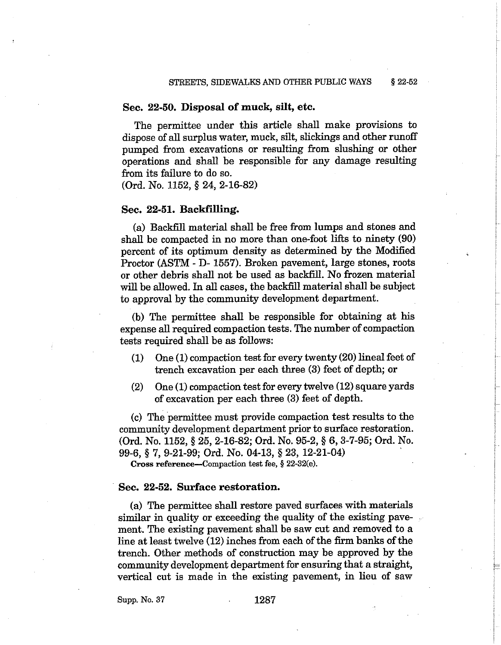### Sec. 22-50. Disposal of muck, silt, etc.

The permittee under this article shall make provisions to dispose of all surplus water, muck, silt, slickings and other runoff pumped from excavations or resulting from slushing or other operations and shall be responsible for any damage resulting from its failure to do so.

(Ord. No. 1152, § 24, 2-16-82)

### Sec. 22-51. Backfilling.

(a) Backfill material shall be free from lumps and stones and shall be compacted in no more than one-foot lifts to ninety (90) percent of its optimum density as determined by the Modified Proctor (ASTM - D-1557). Broken pavement, large stones, roots or other debris shall not be used as backfill. No frozen material will be allowed. In all cases, the backfill material shall be subject to approval by the community development department.

(b) The permittee shall be responsible for obtaining at his expense all required compaction tests. The number of compaction tests required shall be as follows:

- One (1) compaction test for every twenty (20) lineal feet of  $(1)$ trench excavation per each three (3) feet of depth; or
- One (1) compaction test for every twelve (12) square yards  $(2)$ of excavation per each three (3) feet of depth.

(c) The permittee must provide compaction test results to the community development department prior to surface restoration. (Ord. No. 1152, § 25, 2-16-82; Ord. No. 95-2, § 6, 3-7-95; Ord. No. 99-6, § 7, 9-21-99; Ord. No. 04-13, § 23, 12-21-04)

Cross reference-Compaction test fee, § 22-32(e).

### Sec. 22-52. Surface restoration.

(a) The permittee shall restore paved surfaces with materials similar in quality or exceeding the quality of the existing pavement. The existing pavement shall be saw cut and removed to a line at least twelve (12) inches from each of the firm banks of the trench. Other methods of construction may be approved by the community development department for ensuring that a straight, vertical cut is made in the existing pavement, in lieu of saw